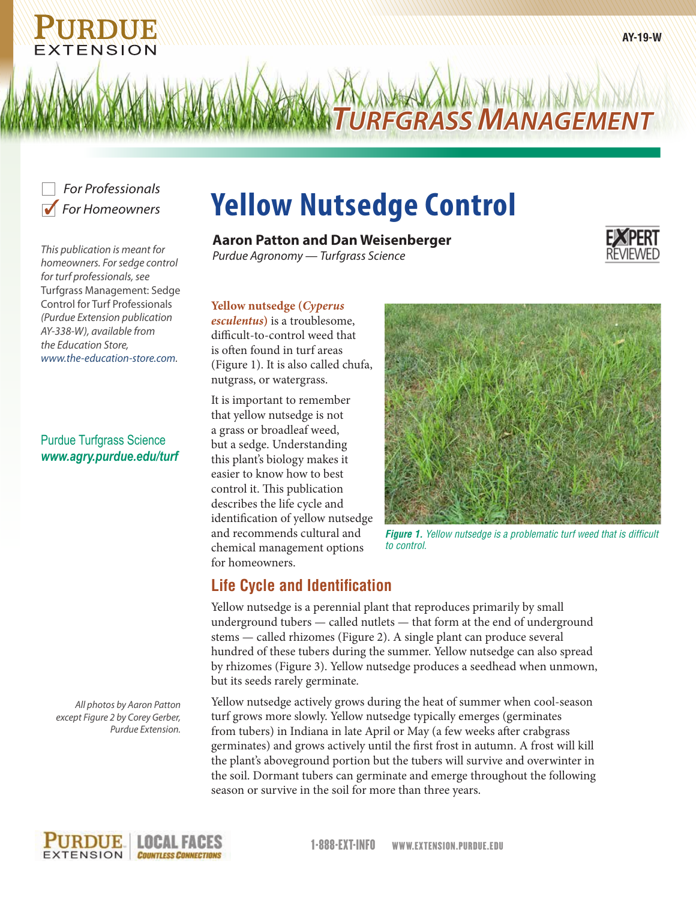

*This publication is meant for homeowners. For sedge control for turf professionals, see*  Turfgrass Management: Sedge Control for Turf Professionals *(Purdue Extension publication AY-338-W), available from the Education Store, www.the-education-store.com.*

Purdue Turfgrass Science *www.agry.purdue.edu/turf*

> *All photos by Aaron Patton except Figure 2 by Corey Gerber, Purdue Extension.*

# **Yellow Nutsedge Control**

### **Aaron Patton and Dan Weisenberger**

*Purdue Agronomy — Turfgrass Science*

**Yellow nutsedge (***Cyperus* 

*esculentus***)** is a troublesome, difficult-to-control weed that is often found in turf areas (Figure 1). It is also called chufa, nutgrass, or watergrass.

It is important to remember that yellow nutsedge is not a grass or broadleaf weed, but a sedge. Understanding this plant's biology makes it easier to know how to best control it. This publication describes the life cycle and identification of yellow nutsedge and recommends cultural and chemical management options for homeowners.



*TURFGRASS MANAGEMENT*

*Figure 1. Yellow nutsedge is a problematic turf weed that is difficult to control.*

# **Life Cycle and Identification**

Yellow nutsedge is a perennial plant that reproduces primarily by small underground tubers — called nutlets — that form at the end of underground stems — called rhizomes (Figure 2). A single plant can produce several hundred of these tubers during the summer. Yellow nutsedge can also spread by rhizomes (Figure 3). Yellow nutsedge produces a seedhead when unmown, but its seeds rarely germinate.

Yellow nutsedge actively grows during the heat of summer when cool-season turf grows more slowly. Yellow nutsedge typically emerges (germinates from tubers) in Indiana in late April or May (a few weeks after crabgrass germinates) and grows actively until the first frost in autumn. A frost will kill the plant's aboveground portion but the tubers will survive and overwinter in the soil. Dormant tubers can germinate and emerge throughout the following season or survive in the soil for more than three years.

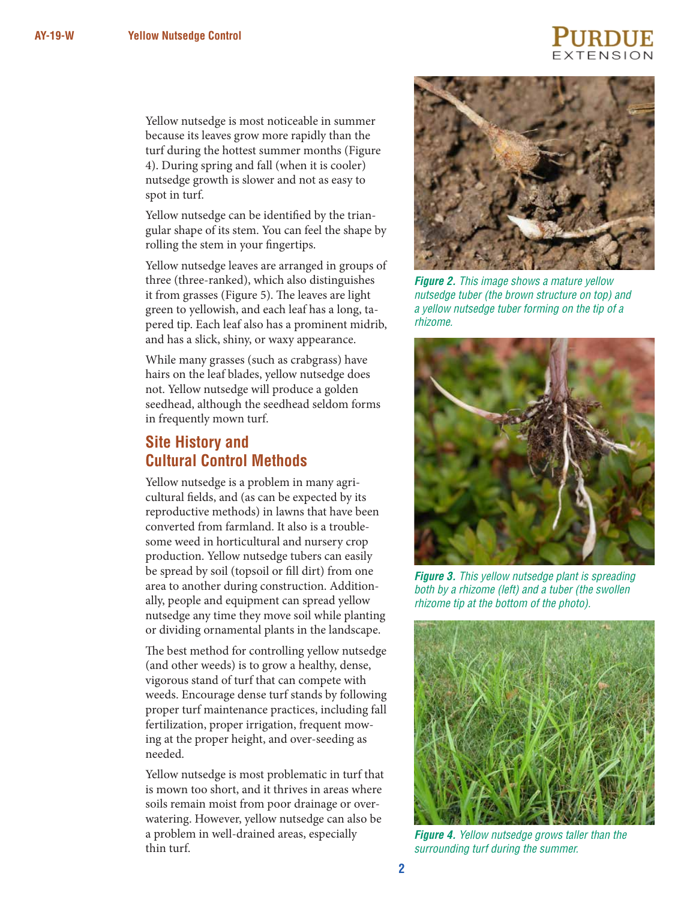# TENSION

Yellow nutsedge is most noticeable in summer because its leaves grow more rapidly than the turf during the hottest summer months (Figure 4). During spring and fall (when it is cooler) nutsedge growth is slower and not as easy to spot in turf.

Yellow nutsedge can be identified by the triangular shape of its stem. You can feel the shape by rolling the stem in your fingertips.

Yellow nutsedge leaves are arranged in groups of three (three-ranked), which also distinguishes it from grasses (Figure 5). The leaves are light green to yellowish, and each leaf has a long, tapered tip. Each leaf also has a prominent midrib, and has a slick, shiny, or waxy appearance.

While many grasses (such as crabgrass) have hairs on the leaf blades, yellow nutsedge does not. Yellow nutsedge will produce a golden seedhead, although the seedhead seldom forms in frequently mown turf.

## **Site History and Cultural Control Methods**

Yellow nutsedge is a problem in many agricultural fields, and (as can be expected by its reproductive methods) in lawns that have been converted from farmland. It also is a troublesome weed in horticultural and nursery crop production. Yellow nutsedge tubers can easily be spread by soil (topsoil or fill dirt) from one area to another during construction. Additionally, people and equipment can spread yellow nutsedge any time they move soil while planting or dividing ornamental plants in the landscape.

The best method for controlling yellow nutsedge (and other weeds) is to grow a healthy, dense, vigorous stand of turf that can compete with weeds. Encourage dense turf stands by following proper turf maintenance practices, including fall fertilization, proper irrigation, frequent mowing at the proper height, and over-seeding as needed.

Yellow nutsedge is most problematic in turf that is mown too short, and it thrives in areas where soils remain moist from poor drainage or overwatering. However, yellow nutsedge can also be a problem in well-drained areas, especially thin turf.



*Figure 2. This image shows a mature yellow nutsedge tuber (the brown structure on top) and a yellow nutsedge tuber forming on the tip of a rhizome.* 



*Figure 3. This yellow nutsedge plant is spreading both by a rhizome (left) and a tuber (the swollen rhizome tip at the bottom of the photo).*



*Figure 4. Yellow nutsedge grows taller than the surrounding turf during the summer.*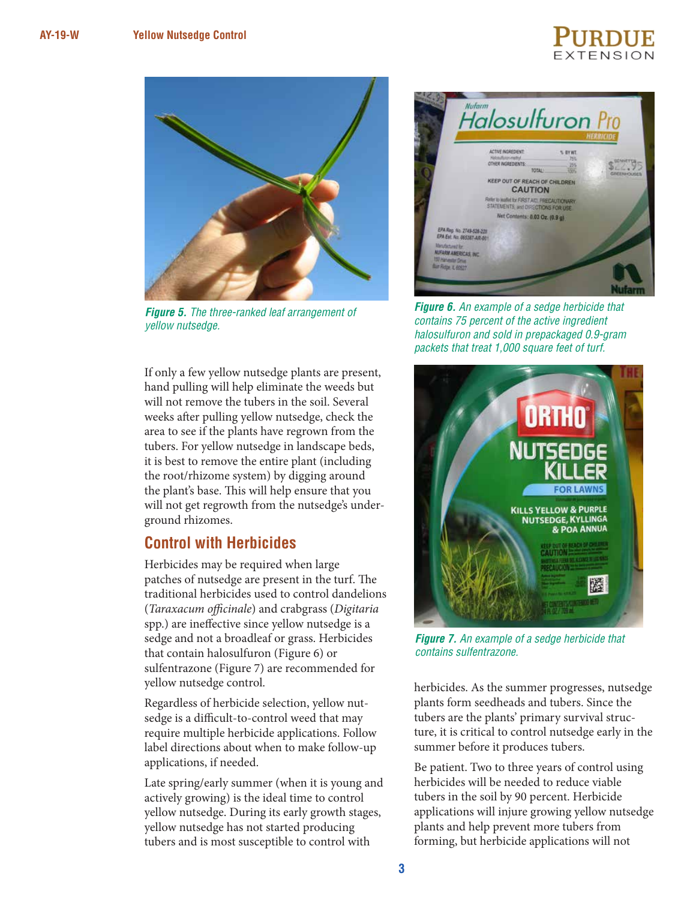# $EXTENSIO$



*Figure 5. The three-ranked leaf arrangement of yellow nutsedge.*

If only a few yellow nutsedge plants are present, hand pulling will help eliminate the weeds but will not remove the tubers in the soil. Several weeks after pulling yellow nutsedge, check the area to see if the plants have regrown from the tubers. For yellow nutsedge in landscape beds, it is best to remove the entire plant (including the root/rhizome system) by digging around the plant's base. This will help ensure that you will not get regrowth from the nutsedge's underground rhizomes.

### **Control with Herbicides**

Herbicides may be required when large patches of nutsedge are present in the turf. The traditional herbicides used to control dandelions (*Taraxacum officinale*) and crabgrass (*Digitaria* spp.) are ineffective since yellow nutsedge is a sedge and not a broadleaf or grass. Herbicides that contain halosulfuron (Figure 6) or sulfentrazone (Figure 7) are recommended for yellow nutsedge control.

Regardless of herbicide selection, yellow nutsedge is a difficult-to-control weed that may require multiple herbicide applications. Follow label directions about when to make follow-up applications, if needed.

Late spring/early summer (when it is young and actively growing) is the ideal time to control yellow nutsedge. During its early growth stages, yellow nutsedge has not started producing tubers and is most susceptible to control with



*Figure 6. An example of a sedge herbicide that contains 75 percent of the active ingredient halosulfuron and sold in prepackaged 0.9-gram packets that treat 1,000 square feet of turf.*



*Figure 7. An example of a sedge herbicide that contains sulfentrazone.* 

herbicides. As the summer progresses, nutsedge plants form seedheads and tubers. Since the tubers are the plants' primary survival structure, it is critical to control nutsedge early in the summer before it produces tubers.

Be patient. Two to three years of control using herbicides will be needed to reduce viable tubers in the soil by 90 percent. Herbicide applications will injure growing yellow nutsedge plants and help prevent more tubers from forming, but herbicide applications will not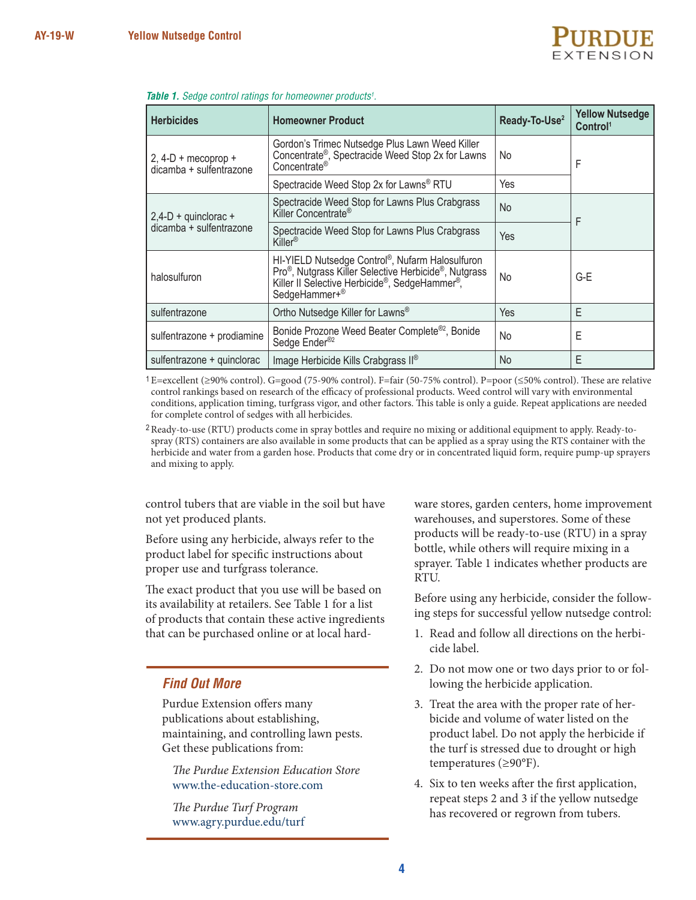

| <b>Herbicides</b>                                 | <b>Homeowner Product</b>                                                                                                                                                                            | Ready-To-Use <sup>2</sup> | <b>Yellow Nutsedge</b><br>Control <sup>1</sup> |
|---------------------------------------------------|-----------------------------------------------------------------------------------------------------------------------------------------------------------------------------------------------------|---------------------------|------------------------------------------------|
| $2, 4-D +$ mecoprop +<br>dicamba + sulfentrazone  | Gordon's Trimec Nutsedge Plus Lawn Weed Killer<br>Concentrate®, Spectracide Weed Stop 2x for Lawns<br>Concentrate®                                                                                  | No                        | F                                              |
|                                                   | Spectracide Weed Stop 2x for Lawns® RTU                                                                                                                                                             | Yes                       |                                                |
| $2,4-D +$ quinclorac +<br>dicamba + sulfentrazone | Spectracide Weed Stop for Lawns Plus Crabgrass<br>Killer Concentrate®                                                                                                                               | No                        | F                                              |
|                                                   | Spectracide Weed Stop for Lawns Plus Crabgrass<br>Killer <sup>®</sup>                                                                                                                               | Yes                       |                                                |
| halosulfuron                                      | HI-YIELD Nutsedge Control®, Nufarm Halosulfuron<br>Pro <sup>®</sup> , Nutgrass Killer Selective Herbicide <sup>®</sup> , Nutgrass<br>Killer II Selective Herbicide®, SedgeHammer®,<br>SedgeHammer+® | No                        | G-E                                            |
| sulfentrazone                                     | Ortho Nutsedge Killer for Lawns®                                                                                                                                                                    | Yes                       | F                                              |
| sulfentrazone + prodiamine                        | Bonide Prozone Weed Beater Complete® <sup>2</sup> , Bonide<br>Sedge Ender <sup>®2</sup>                                                                                                             | No                        | E                                              |
| sulfentrazone + quinclorac                        | Image Herbicide Kills Crabgrass II <sup>®</sup>                                                                                                                                                     | No                        | E                                              |

#### *Table 1. Sedge control ratings for homeowner products1 .*

1 E=excellent (≥90% control). G=good (75-90% control). F=fair (50-75% control). P=poor (≤50% control). These are relative control rankings based on research of the efficacy of professional products. Weed control will vary with environmental conditions, application timing, turfgrass vigor, and other factors. This table is only a guide. Repeat applications are needed for complete control of sedges with all herbicides.

<sup>2</sup> Ready-to-use (RTU) products come in spray bottles and require no mixing or additional equipment to apply. Ready-tospray (RTS) containers are also available in some products that can be applied as a spray using the RTS container with the herbicide and water from a garden hose. Products that come dry or in concentrated liquid form, require pump-up sprayers and mixing to apply.

control tubers that are viable in the soil but have not yet produced plants.

Before using any herbicide, always refer to the product label for specific instructions about proper use and turfgrass tolerance.

The exact product that you use will be based on its availability at retailers. See Table 1 for a list of products that contain these active ingredients that can be purchased online or at local hard-

#### *Find Out More*

Purdue Extension offers many publications about establishing, maintaining, and controlling lawn pests. Get these publications from:

*The Purdue Extension Education Store* www.the-education-store.com

*The Purdue Turf Program* www.agry.purdue.edu/turf ware stores, garden centers, home improvement warehouses, and superstores. Some of these products will be ready-to-use (RTU) in a spray bottle, while others will require mixing in a sprayer. Table 1 indicates whether products are RTU.

Before using any herbicide, consider the following steps for successful yellow nutsedge control:

- 1. Read and follow all directions on the herbicide label.
- 2. Do not mow one or two days prior to or following the herbicide application.
- 3. Treat the area with the proper rate of herbicide and volume of water listed on the product label. Do not apply the herbicide if the turf is stressed due to drought or high temperatures (≥90°F).
- 4. Six to ten weeks after the first application, repeat steps 2 and 3 if the yellow nutsedge has recovered or regrown from tubers.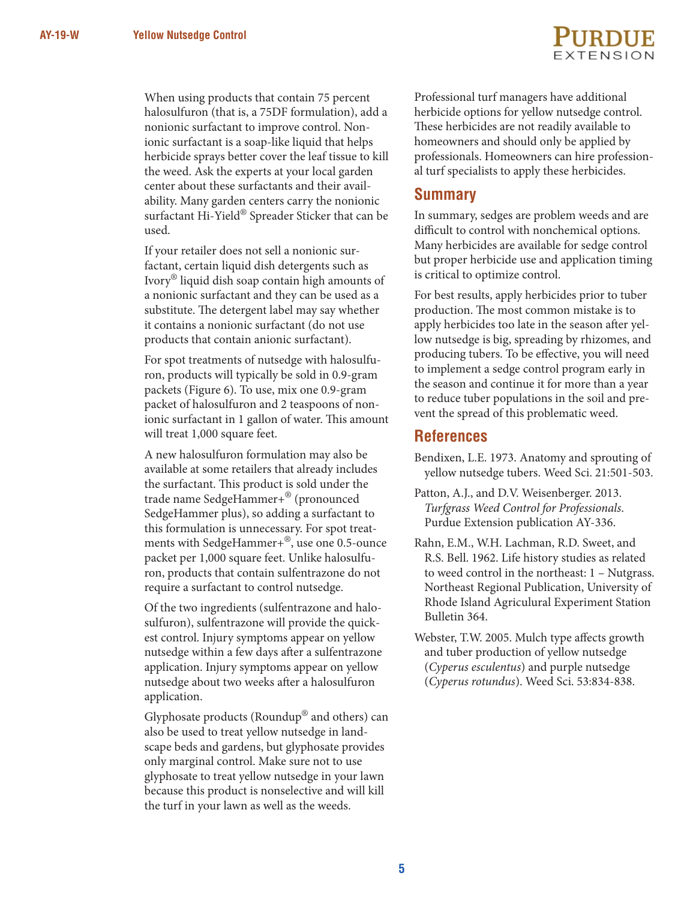When using products that contain 75 percent halosulfuron (that is, a 75DF formulation), add a nonionic surfactant to improve control. Nonionic surfactant is a soap-like liquid that helps herbicide sprays better cover the leaf tissue to kill the weed. Ask the experts at your local garden center about these surfactants and their availability. Many garden centers carry the nonionic surfactant Hi-Yield® Spreader Sticker that can be used.

If your retailer does not sell a nonionic surfactant, certain liquid dish detergents such as Ivory® liquid dish soap contain high amounts of a nonionic surfactant and they can be used as a substitute. The detergent label may say whether it contains a nonionic surfactant (do not use products that contain anionic surfactant).

For spot treatments of nutsedge with halosulfuron, products will typically be sold in 0.9-gram packets (Figure 6). To use, mix one 0.9-gram packet of halosulfuron and 2 teaspoons of nonionic surfactant in 1 gallon of water. This amount will treat 1,000 square feet.

A new halosulfuron formulation may also be available at some retailers that already includes the surfactant. This product is sold under the trade name SedgeHammer+® (pronounced SedgeHammer plus), so adding a surfactant to this formulation is unnecessary. For spot treatments with SedgeHammer+®, use one 0.5-ounce packet per 1,000 square feet. Unlike halosulfuron, products that contain sulfentrazone do not require a surfactant to control nutsedge.

Of the two ingredients (sulfentrazone and halosulfuron), sulfentrazone will provide the quickest control. Injury symptoms appear on yellow nutsedge within a few days after a sulfentrazone application. Injury symptoms appear on yellow nutsedge about two weeks after a halosulfuron application.

Glyphosate products (Roundup® and others) can also be used to treat yellow nutsedge in landscape beds and gardens, but glyphosate provides only marginal control. Make sure not to use glyphosate to treat yellow nutsedge in your lawn because this product is nonselective and will kill the turf in your lawn as well as the weeds.



Professional turf managers have additional herbicide options for yellow nutsedge control. These herbicides are not readily available to homeowners and should only be applied by professionals. Homeowners can hire professional turf specialists to apply these herbicides.

#### **Summary**

In summary, sedges are problem weeds and are difficult to control with nonchemical options. Many herbicides are available for sedge control but proper herbicide use and application timing is critical to optimize control.

For best results, apply herbicides prior to tuber production. The most common mistake is to apply herbicides too late in the season after yellow nutsedge is big, spreading by rhizomes, and producing tubers. To be effective, you will need to implement a sedge control program early in the season and continue it for more than a year to reduce tuber populations in the soil and prevent the spread of this problematic weed.

#### **References**

- Bendixen, L.E. 1973. Anatomy and sprouting of yellow nutsedge tubers. Weed Sci. 21:501-503.
- Patton, A.J., and D.V. Weisenberger. 2013. *Turfgrass Weed Control for Professionals*. Purdue Extension publication AY-336.
- Rahn, E.M., W.H. Lachman, R.D. Sweet, and R.S. Bell. 1962. Life history studies as related to weed control in the northeast: 1 – Nutgrass. Northeast Regional Publication, University of Rhode Island Agriculural Experiment Station Bulletin 364.
- Webster, T.W. 2005. Mulch type affects growth and tuber production of yellow nutsedge (*Cyperus esculentus*) and purple nutsedge (*Cyperus rotundus*). Weed Sci. 53:834-838.